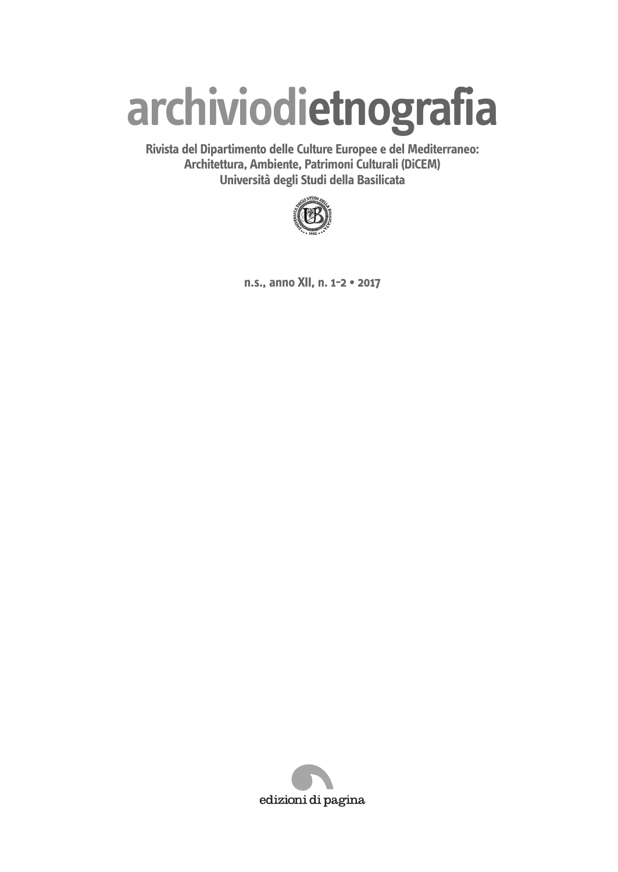# **archiviodietnografia**

**Rivista del Dipartimento delle Culture Europee e del Mediterraneo: Architettura, Ambiente, Patrimoni Culturali (DiCEM) Università degli Studi della Basilicata**



**n.s., anno XII, n. 1-2 • 2017**

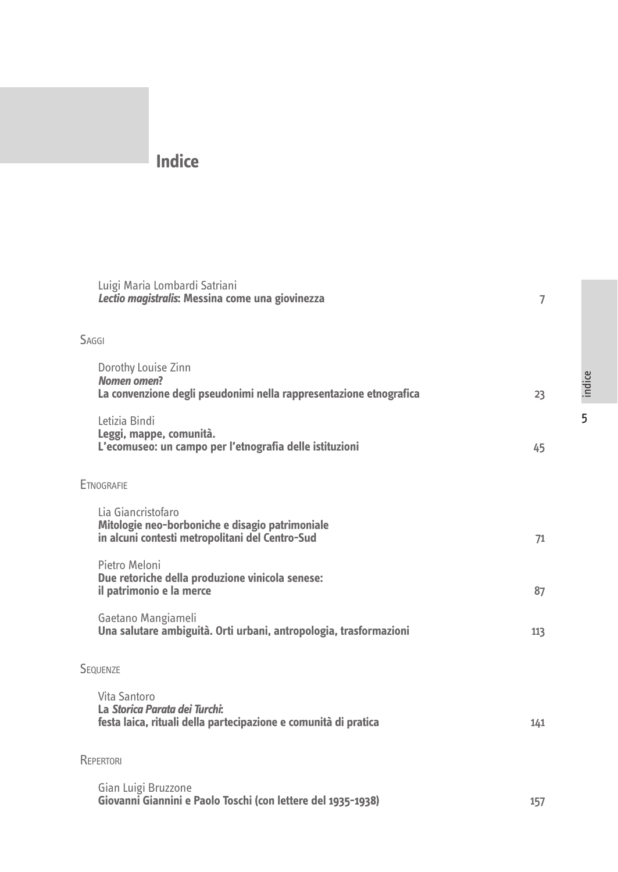## **Indice**

| Luigi Maria Lombardi Satriani<br>Lectio magistralis: Messina come una giovinezza                                         | 7   |
|--------------------------------------------------------------------------------------------------------------------------|-----|
| SAGGI                                                                                                                    |     |
| Dorothy Louise Zinn<br><b>Nomen</b> omen?<br>La convenzione degli pseudonimi nella rappresentazione etnografica          | 23  |
| Letizia Bindi<br>Leggi, mappe, comunità.<br>L'ecomuseo: un campo per l'etnografia delle istituzioni                      | 45  |
| <b>ETNOGRAFIF</b>                                                                                                        |     |
| Lia Giancristofaro<br>Mitologie neo-borboniche e disagio patrimoniale<br>in alcuni contesti metropolitani del Centro-Sud | 71  |
| Pietro Meloni<br>Due retoriche della produzione vinicola senese:<br>il patrimonio e la merce                             | 87  |
| Gaetano Mangiameli<br>Una salutare ambiguità. Orti urbani, antropologia, trasformazioni                                  | 113 |
| <b>SEQUENZE</b>                                                                                                          |     |
| Vita Santoro<br>La Storica Parata dei Turchi:<br>festa laica, rituali della partecipazione e comunità di pratica         | 141 |
| REPERTORI                                                                                                                |     |
| Gian Luigi Bruzzone<br>Giovanni Giannini e Paolo Toschi (con lettere del 1935-1938)                                      | 157 |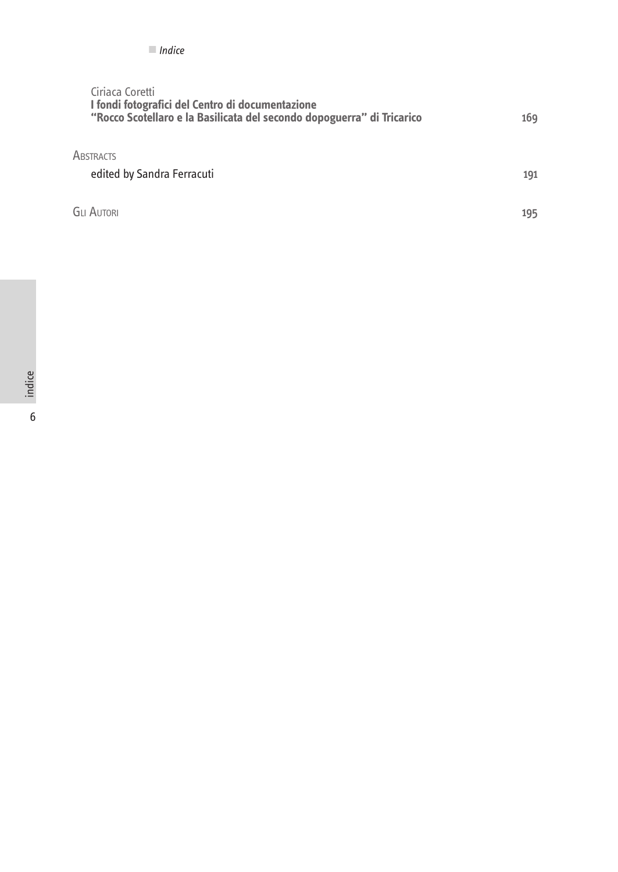## Ciriaca Coretti **I fondi fotografici del Centro di documentazione "Rocco Scotellaro e la Basilicata del secondo dopoguerra" di Tricarico** 169

**ABSTRACTS** 

| edited by Sandra Ferracuti |  |
|----------------------------|--|
|----------------------------|--|

Gli Autori 195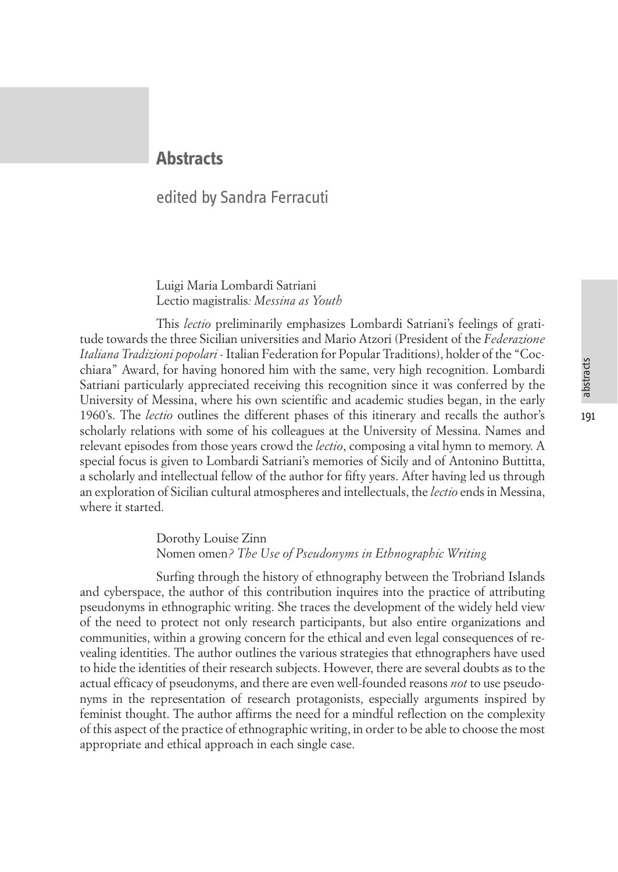## abstracts

191

## **Abstracts**

## edited by Sandra Ferracuti

Luigi Maria Lombardi Satriani Lectio magistralis*: Messina as Youth*

This *lectio* preliminarily emphasizes Lombardi Satriani's feelings of gratitude towards the three Sicilian universities and Mario Atzori (President of the *Federazione Italiana Tradizioni popolari* - Italian Federation for Popular Traditions), holder of the "Cocchiara" Award, for having honored him with the same, very high recognition. Lombardi Satriani particularly appreciated receiving this recognition since it was conferred by the University of Messina, where his own scientific and academic studies began, in the early 1960's. The *lectio* outlines the different phases of this itinerary and recalls the author's scholarly relations with some of his colleagues at the University of Messina. Names and relevant episodes from those years crowd the *lectio*, composing a vital hymn to memory. A special focus is given to Lombardi Satriani's memories of Sicily and of Antonino Buttitta, a scholarly and intellectual fellow of the author for fifty years. After having led us through an exploration of Sicilian cultural atmospheres and intellectuals, the *lectio* ends in Messina, where it started.

## Dorothy Louise Zinn Nomen omen*? The Use of Pseudonyms in Ethnographic Writing*

Surfing through the history of ethnography between the Trobriand Islands and cyberspace, the author of this contribution inquires into the practice of attributing pseudonyms in ethnographic writing. She traces the development of the widely held view of the need to protect not only research participants, but also entire organizations and communities, within a growing concern for the ethical and even legal consequences of revealing identities. The author outlines the various strategies that ethnographers have used to hide the identities of their research subjects. However, there are several doubts as to the actual efficacy of pseudonyms, and there are even well-founded reasons *not* to use pseudonyms in the representation of research protagonists, especially arguments inspired by feminist thought. The author affirms the need for a mindful reflection on the complexity of this aspect of the practice of ethnographic writing, in order to be able to choose the most appropriate and ethical approach in each single case.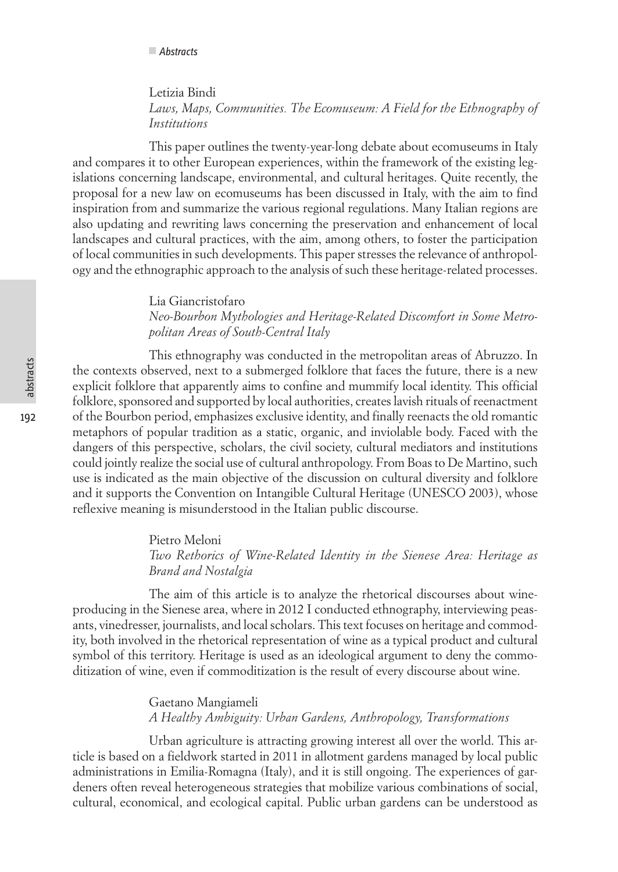Letizia Bindi *Laws, Maps, Communities. The Ecomuseum: A Field for the Ethnography of Institutions*

This paper outlines the twenty-year-long debate about ecomuseums in Italy and compares it to other European experiences, within the framework of the existing legislations concerning landscape, environmental, and cultural heritages. Quite recently, the proposal for a new law on ecomuseums has been discussed in Italy, with the aim to find inspiration from and summarize the various regional regulations. Many Italian regions are also updating and rewriting laws concerning the preservation and enhancement of local landscapes and cultural practices, with the aim, among others, to foster the participation of local communities in such developments. This paper stresses the relevance of anthropology and the ethnographic approach to the analysis of such these heritage-related processes.

> Lia Giancristofaro *Neo-Bourbon Mythologies and Heritage-Related Discomfort in Some Metropolitan Areas of South-Central Italy*

This ethnography was conducted in the metropolitan areas of Abruzzo. In the contexts observed, next to a submerged folklore that faces the future, there is a new explicit folklore that apparently aims to confine and mummify local identity. This official folklore, sponsored and supported by local authorities, creates lavish rituals of reenactment of the Bourbon period, emphasizes exclusive identity, and finally reenacts the old romantic metaphors of popular tradition as a static, organic, and inviolable body. Faced with the dangers of this perspective, scholars, the civil society, cultural mediators and institutions could jointly realize the social use of cultural anthropology. From Boas to De Martino, such use is indicated as the main objective of the discussion on cultural diversity and folklore and it supports the Convention on Intangible Cultural Heritage (UNESCO 2003), whose reflexive meaning is misunderstood in the Italian public discourse.

> Pietro Meloni *Two Rethorics of Wine-Related Identity in the Sienese Area: Heritage as Brand and Nostalgia*

The aim of this article is to analyze the rhetorical discourses about wineproducing in the Sienese area, where in 2012 I conducted ethnography, interviewing peasants, vinedresser, journalists, and local scholars. This text focuses on heritage and commodity, both involved in the rhetorical representation of wine as a typical product and cultural symbol of this territory. Heritage is used as an ideological argument to deny the commoditization of wine, even if commoditization is the result of every discourse about wine.

> Gaetano Mangiameli *A Healthy Ambiguity: Urban Gardens, Anthropology, Transformations*

Urban agriculture is attracting growing interest all over the world. This article is based on a fieldwork started in 2011 in allotment gardens managed by local public administrations in Emilia-Romagna (Italy), and it is still ongoing. The experiences of gardeners often reveal heterogeneous strategies that mobilize various combinations of social, cultural, economical, and ecological capital. Public urban gardens can be understood as